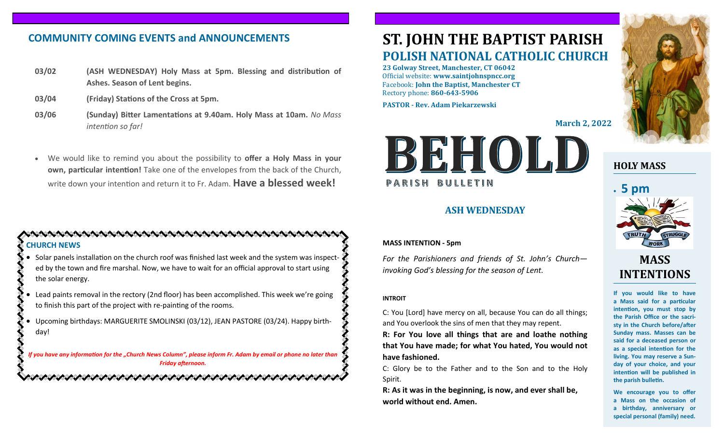# **COMMUNITY COMING EVENTS and ANNOUNCEMENTS**

- **03/02 (ASH WEDNESDAY) Holy Mass at 5pm. Blessing and distribution of Ashes. Season of Lent begins.**
- **03/04 (Friday) Stations of the Cross at 5pm.**
- **03/06 (Sunday) Bitter Lamentations at 9.40am. Holy Mass at 10am.** *No Mass intention so far!*
- We would like to remind you about the possibility to **offer a Holy Mass in your own, particular intention!** Take one of the envelopes from the back of the Church, write down your intention and return it to Fr. Adam. **Have a blessed week!**

#### **CHURCH NEWS**

- Solar panels installation on the church roof was finished last week and the system was inspected by the town and fire marshal. Now, we have to wait for an official approval to start using the solar energy.
- Lead paints removal in the rectory (2nd floor) has been accomplished. This week we're going to finish this part of the project with re-painting of the rooms.
- Upcoming birthdays: MARGUERITE SMOLINSKI (03/12), JEAN PASTORE (03/24). Happy birthday!

*If you have any information for the "Church News Column", please inform Fr. Adam by email or phone no later than Friday afternoon.*

# **ST. JOHN THE BAPTIST PARISH POLISH NATIONAL CATHOLIC CHURCH**

**23 Golway Street, Manchester, CT 06042** Official website: **www.saintjohnspncc.org** Facebook: **John the Baptist, Manchester CT** Rectory phone: **860-643-5906** 

**PASTOR - Rev. Adam Piekarzewski**

**March 2, 2022**



### **ASH WEDNESDAY**

#### **MASS INTENTION - 5pm**

*For the Parishioners and friends of St. John's Church invoking God's blessing for the season of Lent.* 

#### **INTROIT**

C: You [Lord] have mercy on all, because You can do all things; and You overlook the sins of men that they may repent.

**R: For You love all things that are and loathe nothing that You have made; for what You hated, You would not have fashioned.**

C: Glory be to the Father and to the Son and to the Holy Spirit.

**R: As it was in the beginning, is now, and ever shall be, world without end. Amen.**



# **HOLY MASS**



# **MASS INTENTIONS**

**If you would like to have a Mass said for a particular intention, you must stop by the Parish Office or the sacristy in the Church before/after Sunday mass. Masses can be said for a deceased person or as a special intention for the living. You may reserve a Sunday of your choice, and your intention will be published in the parish bulletin.**

**We encourage you to offer a Mass on the occasion of a birthday, anniversary or special personal (family) need.**